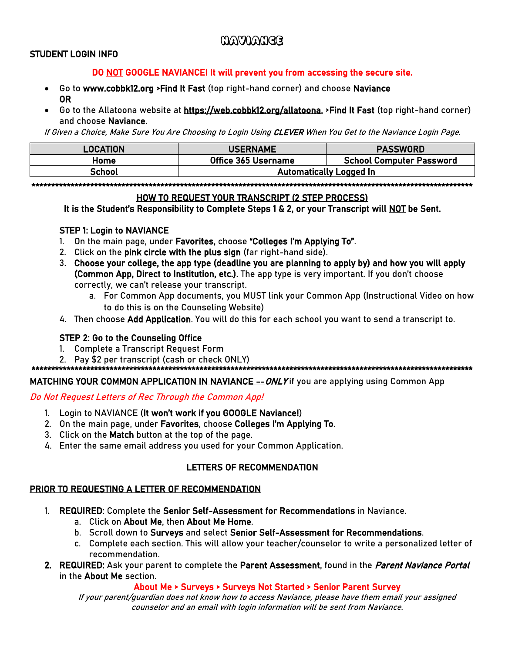# Naviance

#### STUDENT LOGIN INFO

#### DO NOT GOOGLE NAVIANCE! It will prevent you from accessing the secure site.

- Go to [www.cobbk12.org](http://www.cobbk12.org/) >Find It Fast (top right-hand corner) and choose Naviance OR
- Go to the Allatoona website at [https://web.cobbk12.org/allatoona.](https://web.cobbk12.org/allatoona) >Find It Fast (top right-hand corner) and choose Naviance.

If Given a Choice, Make Sure You Are Choosing to Login Using CLEVER When You Get to the Naviance Login Page.

| <b>LOCATION</b> | <b>USERNAME</b>                | <b>PASSWORD</b>                 |  |
|-----------------|--------------------------------|---------------------------------|--|
| Home            | Office 365 Username            | <b>School Computer Password</b> |  |
| School          | <b>Automatically Logged In</b> |                                 |  |

\*\*\*\*\*\*\*\*\*\*\*\*\*\*\*\*\*\*\*\*\*\*\*\*\*\*\*\*\*\*\*\*\*\*\*\*\*\*\*\*\*\*\*\*\*\*\*\*\*\*\*\*\*\*\*\*\*\*\*\*\*\*\*\*\*\*\*\*\*\*\*\*\*\*\*\*\*\*\*\*\*\*\*\*\*\*\*\*\*\*\*\*\*\*\*\*\*\*\*\*\*\*\*\*\*\*\*\*\*\*\*\*\*

#### HOW TO REQUEST YOUR TRANSCRIPT (2 STEP PROCESS)

It is the Student's Responsibility to Complete Steps 1 & 2, or your Transcript will NOT be Sent.

#### STEP 1: Login to NAVIANCE

- 1. On the main page, under Favorites, choose "Colleges I'm Applying To".
- 2. Click on the pink circle with the plus sign (far right-hand side).
- 3. Choose your college, the app type (deadline you are planning to apply by) and how you will apply (Common App, Direct to Institution, etc.). The app type is very important. If you don't choose correctly, we can't release your transcript.
	- a. For Common App documents, you MUST link your Common App (Instructional Video on how to do this is on the Counseling Website)
- 4. Then choose Add Application. You will do this for each school you want to send a transcript to.

## STEP 2: Go to the Counseling Office

- 1. Complete a Transcript Request Form
- 2. Pay \$2 per transcript (cash or check ONLY)

\*\*\*\*\*\*\*\*\*\*\*\*\*\*\*\*\*\*\*\*\*\*\*\*\*\*\*\*\*\*\*\*\*\*\*\*\*\*\*\*\*\*\*\*\*\*\*\*\*\*\*\*\*\*\*\*\*\*\*\*\*\*\*\*\*\*\*\*\*\*\*\*\*\*\*\*\*\*\*\*\*\*\*\*\*\*\*\*\*\*\*\*\*\*\*\*\*\*\*\*\*\*\*\*\*\*\*\*\*\*\*\*\*

MATCHING YOUR COMMON APPLICATION IN NAVIANCE -- ONLY if you are applying using Common App

#### Do Not Request Letters of Rec Through the Common App!

- 1. Login to NAVIANCE (It won't work if you GOOGLE Naviance!)
- 2. On the main page, under Favorites, choose Colleges I'm Applying To.
- 3. Click on the Match button at the top of the page.
- 4. Enter the same email address you used for your Common Application.

## LETTERS OF RECOMMENDATION

## PRIOR TO REQUESTING A LETTER OF RECOMMENDATION

- 1. REQUIRED: Complete the Senior Self-Assessment for Recommendations in Naviance.
	- a. Click on About Me, then About Me Home.
	- b. Scroll down to Surveys and select Senior Self-Assessment for Recommendations.
	- c. Complete each section. This will allow your teacher/counselor to write a personalized letter of recommendation.
- 2. REQUIRED: Ask your parent to complete the Parent Assessment, found in the *Parent Naviance Portal* in the About Me section.

About Me > Surveys > Surveys Not Started > Senior Parent Survey

If your parent/guardian does not know how to access Naviance, please have them email your assigned counselor and an email with login information will be sent from Naviance.